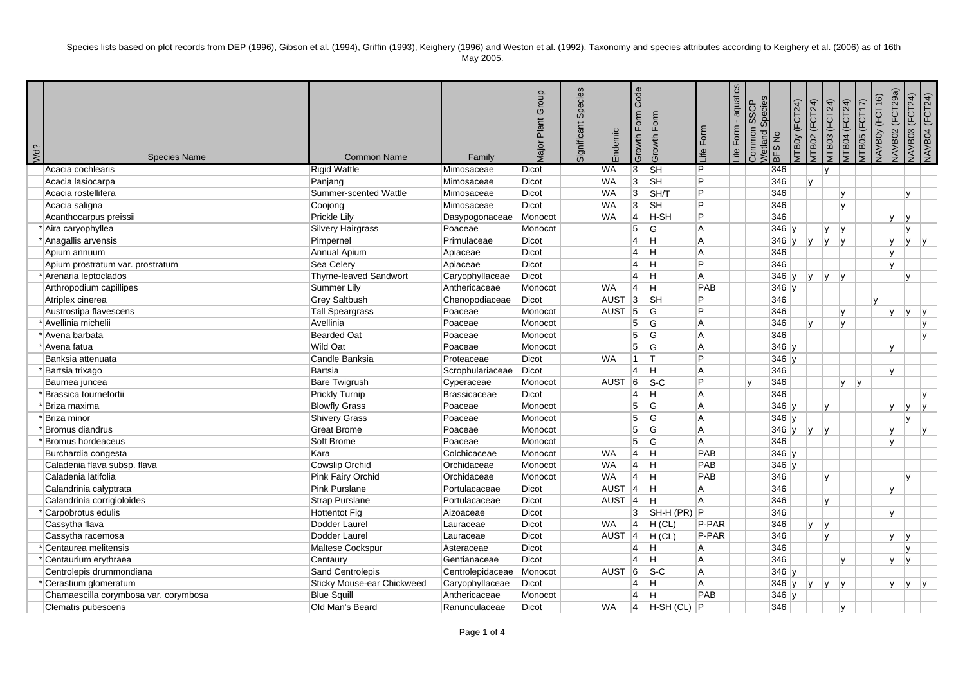| Wd? | <b>Species Name</b>                   | <b>Common Name</b>                | Family              | Plant Group<br>Vlajor | Species<br>Significant | indemic           | Code<br>Form<br>Growth | Form<br>Growth            | life Form | - aquatics<br>Life Form | Species<br><b>SSCP</b><br>Common<br>Vetland | BFS <sub>No</sub> | <b>ITBOy (FCT24)</b> | <b>JTB02 (FCT24)</b>        | <b>ЛТВО4 (FCT24)</b><br><b>ATB03 (FCT24)</b> |   | JAVBOY (FCT16)<br><b>ATBO5 (FCT17)</b> | (FCT29a)<br>NAVB02 | <b>NAVB03 (FCT24)</b> | VAVB04 (FCT24)          |
|-----|---------------------------------------|-----------------------------------|---------------------|-----------------------|------------------------|-------------------|------------------------|---------------------------|-----------|-------------------------|---------------------------------------------|-------------------|----------------------|-----------------------------|----------------------------------------------|---|----------------------------------------|--------------------|-----------------------|-------------------------|
|     | Acacia cochlearis                     | <b>Rigid Wattle</b>               | Mimosaceae          | Dicot                 |                        | WA                | 3                      | $\overline{\mathsf{S}}$ H | Þ         |                         |                                             | 346               |                      | ۱v                          |                                              |   |                                        |                    |                       |                         |
|     | Acacia lasiocarpa                     | Panjang                           | Mimosaceae          | Dicot                 |                        | <b>WA</b>         | 3                      | <b>SH</b>                 | Þ         |                         |                                             | 346               |                      | $\mathbf v$                 |                                              |   |                                        |                    |                       |                         |
|     | Acacia rostellifera                   | Summer-scented Wattle             | Mimosaceae          | Dicot                 |                        | <b>WA</b>         | 3                      | SH/T                      | Þ         |                         |                                             | 346               |                      |                             | Iv.                                          |   |                                        |                    | $\mathsf{v}$          |                         |
|     | Acacia saligna                        | Coojong                           | Mimosaceae          | Dicot                 |                        | <b>WA</b>         | 3                      | <b>SH</b>                 | Þ         |                         |                                             | 346               |                      |                             | lv.                                          |   |                                        |                    |                       |                         |
|     | Acanthocarpus preissii                | Prickle Lily                      | Dasypogonaceae      | Monocot               |                        | <b>WA</b>         | $\vert$ 4              | $H-SH$                    | Þ         |                         |                                             | 346               |                      |                             |                                              |   |                                        | ly.                | l y                   |                         |
|     | * Aira caryophyllea                   | <b>Silvery Hairgrass</b>          | Poaceae             | Monocot               |                        |                   | 5                      | <b>G</b>                  | ΙA        |                         |                                             | $346$ y           |                      | ly.                         | ly.                                          |   |                                        |                    | V                     |                         |
|     | * Anagallis arvensis                  | Pimpernel                         | Primulaceae         | Dicot                 |                        |                   | $\overline{4}$         | $\overline{\mathbf{H}}$   | ΙA        |                         |                                             | 346               | Iv.                  | V <br>lv.                   | ۱v                                           |   |                                        | IV.                | Iv.                   | $\mathsf{I} \mathsf{V}$ |
|     | Apium annuum                          | Annual Apium                      | Apiaceae            | Dicot                 |                        |                   | $\overline{4}$         | Iн.                       | ΙA        |                         |                                             | 346               |                      |                             |                                              |   |                                        | l y                |                       |                         |
|     | Apium prostratum var. prostratum      | Sea Celery                        | Apiaceae            | Dicot                 |                        |                   | $\overline{4}$         | lн.                       | Þ         |                         |                                             | 346               |                      |                             |                                              |   |                                        | Iv.                |                       |                         |
|     | * Arenaria leptoclados                | Thyme-leaved Sandwort             | Caryophyllaceae     | Dicot                 |                        |                   | $\overline{4}$         | Iн.                       | ΙA        |                         |                                             | $346$ y           |                      | IV.<br> V                   | $\mathsf{I}\mathsf{V}$                       |   |                                        |                    | $\mathsf{v}$          |                         |
|     | Arthropodium capillipes               | Summer Lily                       | Anthericaceae       | Monocot               |                        | <b>WA</b>         | $\overline{4}$         | H                         | PAB       |                         |                                             | $346$ y           |                      |                             |                                              |   |                                        |                    |                       |                         |
|     | Atriplex cinerea                      | <b>Grey Saltbush</b>              | Chenopodiaceae      | Dicot                 |                        | <b>AUST</b>       | 3                      | $\overline{\mathsf{S}}$ H | Þ         |                         |                                             | 346               |                      |                             |                                              |   | lv.                                    |                    |                       |                         |
|     | Austrostipa flavescens                | <b>Tall Speargrass</b>            | Poaceae             | Monocot               |                        | AUST 5            |                        | lG.                       | Þ         |                         |                                             | 346               |                      |                             | Iv.                                          |   |                                        | IV.                | ١v                    | Iv.                     |
|     | * Avellinia michelii                  | Avellinia                         | Poaceae             | Monocot               |                        |                   | $\overline{5}$         | <b>G</b>                  | ΙA        |                         |                                             | 346               |                      | v                           | lv.                                          |   |                                        |                    |                       | IV.                     |
|     | * Avena barbata                       | <b>Bearded Oat</b>                | Poaceae             | Monocot               |                        |                   | 5                      | <b>G</b>                  | ΙA        |                         |                                             | 346               |                      |                             |                                              |   |                                        |                    |                       | lv.                     |
|     | * Avena fatua                         | <b>Wild Oat</b>                   | Poaceae             | Monocot               |                        |                   | 5                      | lG.                       | ΙA        |                         |                                             | $346$ y           |                      |                             |                                              |   |                                        | lv.                |                       |                         |
|     | Banksia attenuata                     | Candle Banksia                    | Proteaceae          | Dicot                 |                        | WA                | $\mathbf{1}$           | Iт                        | Þ         |                         |                                             | $346$ y           |                      |                             |                                              |   |                                        |                    |                       |                         |
|     | *Bartsia trixago                      | <b>Bartsia</b>                    | Scrophulariaceae    | Dicot                 |                        |                   | $\overline{4}$         | Iн.                       | ΙA        |                         |                                             | 346               |                      |                             |                                              |   |                                        | lv.                |                       |                         |
|     | Baumea juncea                         | <b>Bare Twigrush</b>              | Cyperaceae          | Monocot               |                        | <b>AUST</b>       | 6                      | $ S-C$                    | Þ         |                         |                                             | 346               |                      |                             | IV.                                          | V |                                        |                    |                       |                         |
|     | * Brassica tournefortii               | <b>Prickly Turnip</b>             | <b>Brassicaceae</b> | Dicot                 |                        |                   | $\overline{4}$         | H                         | ΙA        |                         |                                             | 346               |                      |                             |                                              |   |                                        |                    |                       |                         |
|     | * Briza maxima                        | <b>Blowfly Grass</b>              | Poaceae             | Monocot               |                        |                   | 5                      | <b>G</b>                  | ΙA        |                         |                                             | $346$ y           |                      | v                           |                                              |   |                                        | ly.                | ly.                   | y                       |
|     | 'Briza minor                          | <b>Shivery Grass</b>              | Poaceae             | Monocot               |                        |                   | 5                      | lG.                       | ΙA        |                         |                                             | $346$ y           |                      |                             |                                              |   |                                        |                    | $\mathsf{v}$          |                         |
|     | * Bromus diandrus                     | <b>Great Brome</b>                | Poaceae             | Monocot               |                        |                   | 5                      | <b>G</b>                  | ΙA        |                         |                                             | $346 \vert y$     |                      | y <br> y                    |                                              |   |                                        | lv.                |                       | ly.                     |
|     | *Bromus hordeaceus                    | Soft Brome                        | Poaceae             | Monocot               |                        |                   | 5                      | G                         | A         |                         |                                             | 346               |                      |                             |                                              |   |                                        | lv.                |                       |                         |
|     | Burchardia congesta                   | Kara                              | Colchicaceae        | Monocot               |                        | <b>WA</b>         | $\overline{4}$         | -lH                       | PAB       |                         |                                             | $346$ y           |                      |                             |                                              |   |                                        |                    |                       |                         |
|     | Caladenia flava subsp. flava          | <b>Cowslip Orchid</b>             | Orchidaceae         | Monocot               |                        | <b>WA</b>         | $\overline{4}$         | Iн.                       | PAB       |                         |                                             | $346$ y           |                      |                             |                                              |   |                                        |                    |                       |                         |
|     | Caladenia latifolia                   | Pink Fairy Orchid                 | Orchidaceae         | Monocot               |                        | <b>WA</b>         | $\overline{4}$         | -Iн                       | PAB       |                         |                                             | 346               |                      | IV.                         |                                              |   |                                        |                    | $\mathsf{v}$          |                         |
|     | Calandrinia calyptrata                | <b>Pink Purslane</b>              | Portulacaceae       | Dicot                 |                        | <b>AUST</b>       | 4                      | Iн.                       | ΙA        |                         |                                             | 346               |                      |                             |                                              |   |                                        | lv.                |                       |                         |
|     | Calandrinia corrigioloides            | <b>Strap Purslane</b>             | Portulacaceae       | Dicot                 |                        | <b>AUST</b>       | $ 4\rangle$            | IН.                       | l A       |                         |                                             | 346               |                      | lv.                         |                                              |   |                                        |                    |                       |                         |
|     | Carpobrotus edulis                    | <b>Hottentot Fig</b>              | Aizoaceae           | Dicot                 |                        |                   | 3                      | SH-H (PR) P               |           |                         |                                             | 346               |                      |                             |                                              |   |                                        | lv.                |                       |                         |
|     | Cassytha flava                        | Dodder Laurel                     | Lauraceae           | Dicot                 |                        | WA                | 4                      | H (CL)                    | P-PAR     |                         |                                             | 346               |                      | V<br>$\mathsf{I}\mathsf{v}$ |                                              |   |                                        |                    |                       |                         |
|     | Cassytha racemosa                     | Dodder Laurel                     | Lauraceae           | Dicot                 |                        | AUST <sub>4</sub> |                        | H (CL)                    | $P-PAR$   |                         |                                             | 346               |                      | lv.                         |                                              |   |                                        | lv.                | ۱v                    |                         |
|     | Centaurea melitensis                  | Maltese Cockspur                  | Asteraceae          | Dicot                 |                        |                   | $\overline{4}$         | H                         | ΙA        |                         |                                             | 346               |                      |                             |                                              |   |                                        |                    | v                     |                         |
|     | Centaurium erythraea                  | Centaury                          | Gentianaceae        | Dicot                 |                        |                   | $\overline{4}$         | H                         | A         |                         |                                             | 346               |                      |                             | lv.                                          |   |                                        | ly.                | l y                   |                         |
|     | Centrolepis drummondiana              | Sand Centrolepis                  | Centrolepidaceae    | Monocot               |                        | AUST 6            |                        | $ S-C$                    | ΙA        |                         |                                             | $346$ y           |                      |                             |                                              |   |                                        |                    |                       |                         |
|     | Cerastium glomeratum                  | <b>Sticky Mouse-ear Chickweed</b> | Caryophyllaceae     | Dicot                 |                        |                   | $\overline{4}$         | IH.                       | ΙA        |                         |                                             | $346 \vert y$     |                      | V <br> y                    | ly.                                          |   |                                        | ly.                | y                     |                         |
|     | Chamaescilla corymbosa var. corymbosa | <b>Blue Squill</b>                | Anthericaceae       | Monocot               |                        |                   | $\overline{4}$         | H                         | PAB       |                         |                                             | 346               |                      |                             |                                              |   |                                        |                    |                       |                         |
|     | Clematis pubescens                    | Old Man's Beard                   | Ranunculaceae       | Dicot                 |                        | <b>WA</b>         | $\overline{4}$         | H-SH (CL)                 | l P       |                         |                                             | 346               |                      |                             | lv                                           |   |                                        |                    |                       |                         |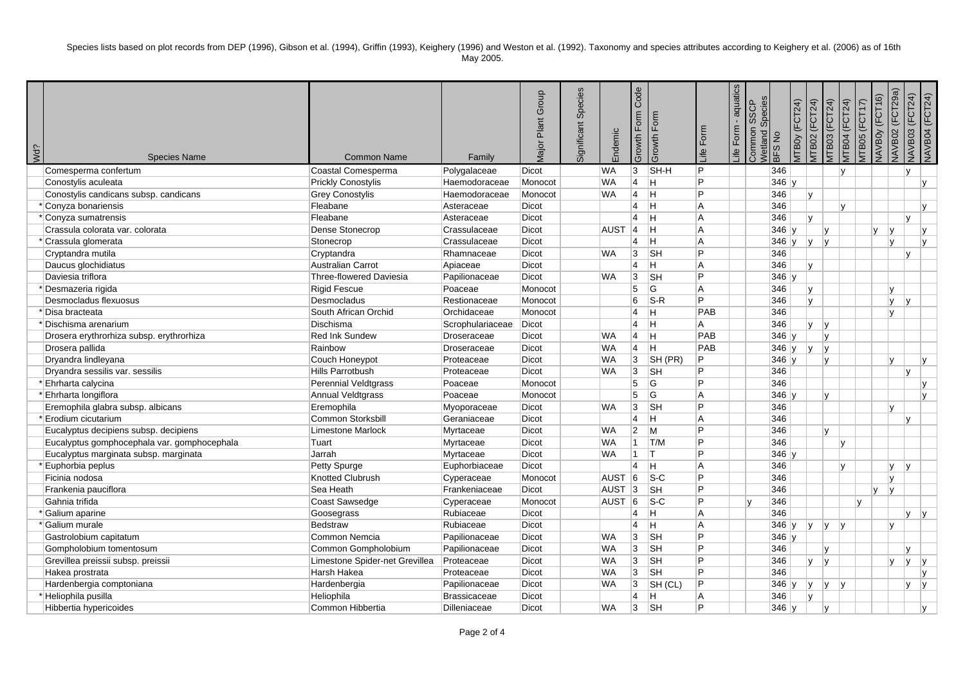| Wd?<br><b>Species Name</b>                  | <b>Common Name</b>             | Family              | Plant Group<br><b>Major</b> | Species<br>Significant | indemic            | Code<br>Form<br>Growth | Form<br>Growth I          | life Form | - aquatics<br>Form<br>i€ | Species<br><b>SSCP</b><br>Common<br>Netland | BFS <sub>No</sub> | <b>ITBOY (FCT24)</b> | <b>ITB02 (FCT24)</b> | <b>ATB03 (FCT24)</b>    | <b>ЛТВО4</b> (FCT24) | $\widehat{\kappa}$<br>(FCT1)<br><b>ATBO5</b> | JAVBOY (FCT16)<br><b>ZOSIVYN</b> | (FCT29a)<br>VAVB03 (FCT24) | <b>NAVB04 (FCT24)</b> |
|---------------------------------------------|--------------------------------|---------------------|-----------------------------|------------------------|--------------------|------------------------|---------------------------|-----------|--------------------------|---------------------------------------------|-------------------|----------------------|----------------------|-------------------------|----------------------|----------------------------------------------|----------------------------------|----------------------------|-----------------------|
| Comesperma confertum                        | Coastal Comesperma             | Polygalaceae        | Dicot                       |                        | <b>WA</b>          | 3                      | SH-H                      | P.        |                          |                                             | 346               |                      |                      | ١v                      |                      |                                              |                                  | $\mathsf{v}$               |                       |
| Conostylis aculeata                         | <b>Prickly Conostylis</b>      | Haemodoraceae       | Monocot                     |                        | <b>WA</b>          | $\overline{4}$         | H                         | Þ         |                          |                                             | $346$ y           |                      |                      |                         |                      |                                              |                                  |                            | IV.                   |
| Conostylis candicans subsp. candicans       | <b>Grey Conostylis</b>         | Haemodoraceae       | Monocot                     |                        | <b>WA</b>          | $\overline{4}$         | ΙH                        | P         |                          |                                             | 346               |                      | Iv.                  |                         |                      |                                              |                                  |                            |                       |
| Conyza bonariensis                          | Fleabane                       | Asteraceae          | Dicot                       |                        |                    | $\overline{4}$         | İΗ                        | l A       |                          |                                             | 346               |                      |                      | lv.                     |                      |                                              |                                  |                            | IV.                   |
| <sup>*</sup>  Conyza sumatrensis            | Fleabane                       | Asteraceae          | Dicot                       |                        |                    | $\overline{4}$         | ΙH                        | l A       |                          |                                             | 346               |                      | v                    |                         |                      |                                              |                                  | v                          |                       |
| Crassula colorata var. colorata             | Dense Stonecrop                | Crassulaceae        | Dicot                       |                        | <b>AUST</b>        | 14                     | İΗ                        | l A       |                          |                                             | $346$ y           |                      | lv.                  |                         |                      | lv.                                          | v                                |                            | IV.                   |
| Crassula glomerata                          | Stonecrop                      | Crassulaceae        | Dicot                       |                        |                    | $\overline{4}$         | ΙH                        | lA.       |                          |                                             | $346$ y           |                      | İγ.<br>lv.           |                         |                      |                                              | l٧                               |                            | Iv.                   |
| Cryptandra mutila                           | Cryptandra                     | Rhamnaceae          | Dicot                       |                        | <b>WA</b>          | $\overline{3}$         | <b>SH</b>                 | P         |                          |                                             | 346               |                      |                      |                         |                      |                                              |                                  | v                          |                       |
| Daucus glochidiatus                         | <b>Australian Carrot</b>       | Apiaceae            | Dicot                       |                        |                    | $\overline{4}$         | н                         | l A       |                          |                                             | 346               |                      | Iv.                  |                         |                      |                                              |                                  |                            |                       |
| Daviesia triflora                           | <b>Three-flowered Daviesia</b> | Papilionaceae       | <b>Dicot</b>                |                        | <b>WA</b>          | 3                      | <b>SH</b>                 | P         |                          |                                             | $346$ y           |                      |                      |                         |                      |                                              |                                  |                            |                       |
| Desmazeria rigida                           | <b>Rigid Fescue</b>            | Poaceae             | Monocot                     |                        |                    | 5                      | G                         | A         |                          |                                             | 346               |                      | IV.                  |                         |                      |                                              | lv.                              |                            |                       |
| Desmocladus flexuosus                       | Desmocladus                    | Restionaceae        | Monocot                     |                        |                    | 6                      | $ S-R$                    | P         |                          |                                             | 346               |                      | Iv.                  |                         |                      |                                              | ly.                              | <b>v</b>                   |                       |
| 'Disa bracteata                             | South African Orchid           | Orchidaceae         | Monocot                     |                        |                    | $\overline{4}$         | н                         | PAB       |                          |                                             | 346               |                      |                      |                         |                      |                                              | ۱v                               |                            |                       |
| *Dischisma arenarium                        | Dischisma                      | Scrophulariaceae    | <b>Dicot</b>                |                        |                    | $\overline{4}$         | İΗ                        | A         |                          |                                             | 346               |                      | v<br>IV.             |                         |                      |                                              |                                  |                            |                       |
| Drosera erythrorhiza subsp. erythrorhiza    | <b>Red Ink Sundew</b>          | Droseraceae         | Dicot                       |                        | <b>WA</b>          | $\vert 4 \vert$        | lн                        | PAB       |                          |                                             | $346$ y           |                      | lv.                  |                         |                      |                                              |                                  |                            |                       |
| Drosera pallida                             | Rainbow                        | Droseraceae         | Dicot                       |                        | <b>WA</b>          | $\overline{4}$         | ΙH                        | PAB       |                          |                                             | $346$ y           |                      | Iv.<br>v             |                         |                      |                                              |                                  |                            |                       |
| Dryandra lindleyana                         | Couch Honeypot                 | Proteaceae          | <b>Dicot</b>                |                        | <b>WA</b>          | 3                      | SH(PR)                    | P         |                          |                                             | $346$ y           |                      | lv.                  |                         |                      |                                              | ۱v                               |                            | IV.                   |
| Dryandra sessilis var. sessilis             | Hills Parrotbush               | Proteaceae          | Dicot                       |                        | <b>WA</b>          | 3                      | $\overline{\mathsf{S}}$ H | P         |                          |                                             | 346               |                      |                      |                         |                      |                                              |                                  | v                          |                       |
| Ehrharta calycina                           | Perennial Veldtgrass           | Poaceae             | Monocot                     |                        |                    | 5                      | lG.                       | P         |                          |                                             | 346               |                      |                      |                         |                      |                                              |                                  |                            | IV.                   |
| * Ehrharta longiflora                       | Annual Veldtgrass              | Poaceae             | Monocot                     |                        |                    | $\overline{5}$         | G                         | l A       |                          |                                             | $346$ y           |                      | $\mathsf{v}$         |                         |                      |                                              |                                  |                            | Iv.                   |
| Eremophila glabra subsp. albicans           | Eremophila                     | Myoporaceae         | Dicot                       |                        | <b>WA</b>          | 3                      | SH                        | P         |                          |                                             | 346               |                      |                      |                         |                      |                                              | ۱v                               |                            |                       |
| Erodium cicutarium                          | Common Storksbill              | Geraniaceae         | <b>Dicot</b>                |                        |                    | $\overline{4}$         | н                         | A         |                          |                                             | 346               |                      |                      |                         |                      |                                              |                                  | v                          |                       |
| Eucalyptus decipiens subsp. decipiens       | <b>Limestone Marlock</b>       | Myrtaceae           | Dicot                       |                        | <b>WA</b>          | $\overline{2}$         | $\mathsf{M}$              | P         |                          |                                             | 346               |                      | v                    |                         |                      |                                              |                                  |                            |                       |
| Eucalyptus gomphocephala var. gomphocephala | Tuart                          | Myrtaceae           | Dicot                       |                        | <b>WA</b>          |                        | $1$ T/M                   | P         |                          |                                             | 346               |                      |                      | lv.                     |                      |                                              |                                  |                            |                       |
| Eucalyptus marginata subsp. marginata       | Jarrah                         | Myrtaceae           | Dicot                       |                        | <b>WA</b>          | $1$ T                  |                           | P         |                          |                                             | $346$ y           |                      |                      |                         |                      |                                              |                                  |                            |                       |
| Euphorbia peplus                            | Petty Spurge                   | Euphorbiaceae       | <b>Dicot</b>                |                        |                    | $\overline{4}$         | ΙH                        | l A       |                          |                                             | 346               |                      |                      | lv                      |                      |                                              | lv.                              | v                          |                       |
| Ficinia nodosa                              | <b>Knotted Clubrush</b>        | Cyperaceae          | Monocot                     |                        | <b>AUST</b>        | 6                      | $ S-C$                    | P         |                          |                                             | 346               |                      |                      |                         |                      |                                              | I۷                               |                            |                       |
| Frankenia pauciflora                        | Sea Heath                      | Frankeniaceae       | Dicot                       |                        | AUST <sub>3</sub>  |                        | <b>SH</b>                 | P         |                          |                                             | 346               |                      |                      |                         |                      | v                                            | İ٧                               |                            |                       |
| Gahnia trifida                              | Coast Sawsedge                 | Cyperaceae          | Monocot                     |                        | AUST <sub>16</sub> |                        | $ S-C $                   | P         |                          |                                             | 346               |                      |                      |                         |                      | v                                            |                                  |                            |                       |
| Galium aparine                              | Goosegrass                     | Rubiaceae           | Dicot                       |                        |                    | 4                      | H                         | lA.       |                          |                                             | 346               |                      |                      |                         |                      |                                              |                                  | V.                         | $\mathsf{V}$          |
| 'Galium murale                              | <b>Bedstraw</b>                | Rubiaceae           | Dicot                       |                        |                    | $\overline{4}$         | Η                         | A         |                          |                                             | 346 $y$           |                      | IV.<br>lv.           | $\mathsf{I} \mathsf{v}$ |                      |                                              | Iv.                              |                            |                       |
| Gastrolobium capitatum                      | Common Nemcia                  | Papilionaceae       | Dicot                       |                        | <b>WA</b>          | 3                      | <b>SH</b>                 | P         |                          |                                             | $346$ y           |                      |                      |                         |                      |                                              |                                  |                            |                       |
| Gompholobium tomentosum                     | Common Gompholobium            | Papilionaceae       | Dicot                       |                        | <b>WA</b>          | $\overline{3}$         | <b>SH</b>                 | P         |                          |                                             | 346               |                      | $\mathsf{v}$         |                         |                      |                                              |                                  | V                          |                       |
| Grevillea preissii subsp. preissii          | Limestone Spider-net Grevillea | Proteaceae          | Dicot                       |                        | <b>WA</b>          | 3                      | <b>SH</b>                 | P         |                          |                                             | 346               |                      | IV.<br> V            |                         |                      |                                              | lv.                              | ly.                        | V                     |
| Hakea prostrata                             | Harsh Hakea                    | Proteaceae          | Dicot                       |                        | <b>WA</b>          | 3                      | <b>SH</b>                 | P         |                          |                                             | 346               |                      |                      |                         |                      |                                              |                                  |                            | IV.                   |
| Hardenbergia comptoniana                    | Hardenbergia                   | Papilionaceae       | Dicot                       |                        | <b>WA</b>          | 3                      | SH (CL)                   | P         |                          |                                             | $346$ y           |                      | V <br>ly.            | $\mathsf{I}\mathsf{V}$  |                      |                                              |                                  | V                          | v                     |
| Heliophila pusilla                          | Heliophila                     | <b>Brassicaceae</b> | Dicot                       |                        |                    | $\overline{4}$         | Н                         | A         |                          |                                             | 346               |                      | v                    |                         |                      |                                              |                                  |                            |                       |
| Hibbertia hypericoides                      | Common Hibbertia               | Dilleniaceae        | Dicot                       |                        | <b>WA</b>          | 3                      | <b>SH</b>                 | P         |                          |                                             | $346$ v           |                      | lv                   |                         |                      |                                              |                                  |                            | M                     |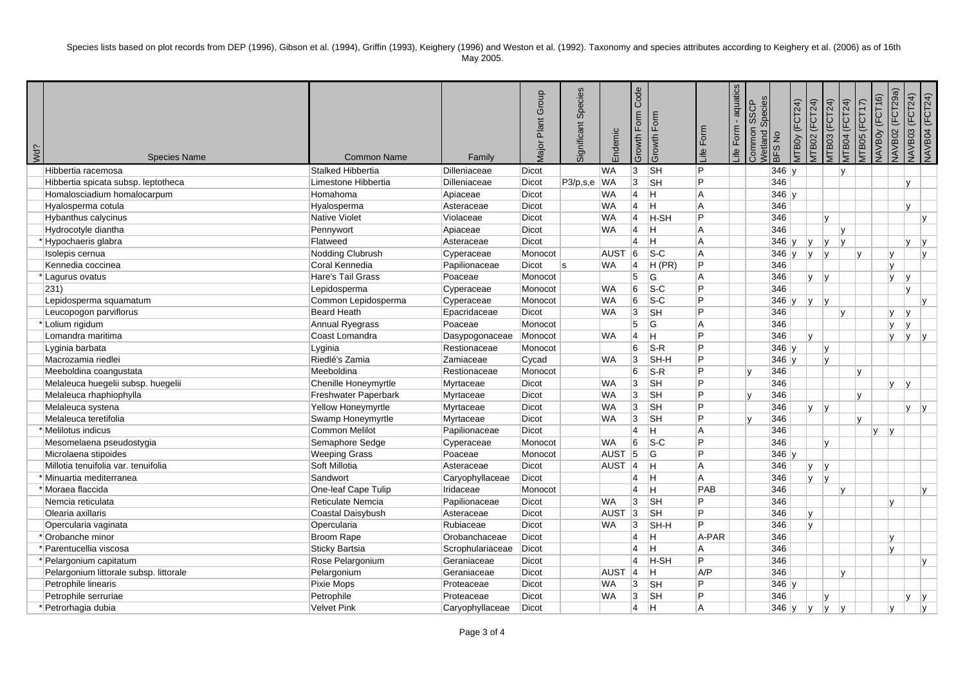| Wd?<br><b>Species Name</b>             | <b>Common Name</b>     | Family           | Plant Group<br><b>Major</b> | Species<br>Significant | Endemic           | Code<br>Form<br>Growth | Growth Form               | ife Form | - aquatics<br>Form<br>$\frac{d}{dt}$ | Species<br><b>SSCP</b><br>Common<br><b>Netland:</b> | BFS <sub>No</sub> | <b>ITBOy (FCT24)</b> | <b>ITB02 (FCT24)</b>               | <b>ATB03 (FCT24)</b>   | <b>ЛТВО4</b> (FCT24) | <b>ITB05 (FCT17)</b> | (FCT29a)<br>VAVBOY (FCT16)<br>VAVB02 | VAVB03 (FCT24) | <b>NAVB04 (FCT24)</b> |
|----------------------------------------|------------------------|------------------|-----------------------------|------------------------|-------------------|------------------------|---------------------------|----------|--------------------------------------|-----------------------------------------------------|-------------------|----------------------|------------------------------------|------------------------|----------------------|----------------------|--------------------------------------|----------------|-----------------------|
| Hibbertia racemosa                     | Stalked Hibbertia      | Dilleniaceae     | Dicot                       |                        | <b>WA</b>         | 3                      | <b>SH</b>                 | lP.      |                                      |                                                     | $346$ v           |                      |                                    | lv.                    |                      |                      |                                      |                |                       |
| Hibbertia spicata subsp. leptotheca    | Limestone Hibbertia    | Dilleniaceae     | Dicot                       | P3/p,s,e WA            |                   | $\overline{3}$         | <b>SH</b>                 | P        |                                      |                                                     | 346               |                      |                                    |                        |                      |                      |                                      | y              |                       |
| Homalosciadium homalocarpum            | Homahoma               | Apiaceae         | Dicot                       |                        | <b>WA</b>         | $\overline{4}$         | Iн.                       | l A      |                                      |                                                     | $346$ y           |                      |                                    |                        |                      |                      |                                      |                |                       |
| Hyalosperma cotula                     | Hyalosperma            | Asteraceae       | Dicot                       |                        | <b>WA</b>         | $\overline{4}$         | İΗ                        | l A      |                                      |                                                     | 346               |                      |                                    |                        |                      |                      |                                      | y              |                       |
| <b>Hybanthus calycinus</b>             | <b>Native Violet</b>   | Violaceae        | Dicot                       |                        | <b>WA</b>         | $\overline{4}$         | <b>H-SH</b>               | Þ        |                                      |                                                     | 346               |                      | lv.                                |                        |                      |                      |                                      |                | IV.                   |
| Hydrocotyle diantha                    | Pennywort              | Apiaceae         | Dicot                       |                        | <b>WA</b>         | $\overline{4}$         | İΗ                        | l A      |                                      |                                                     | 346               |                      |                                    | Iv.                    |                      |                      |                                      |                |                       |
| Hypochaeris glabra                     | Flatweed               | Asteraceae       | Dicot                       |                        |                   | $\overline{4}$         | H                         | l A      |                                      |                                                     | $346 \vert v$     |                      | lv.<br>Iv.                         | $\mathsf{v}$           |                      |                      |                                      | v              | IV.                   |
| Isolepis cernua                        | Nodding Clubrush       | Cyperaceae       | Monocot                     |                        | <b>AUST</b>       | 6                      | $S-C$                     | A        |                                      |                                                     | $346$ y           |                      | IV.<br>Iv.                         |                        |                      | v                    | lv.                                  |                | IV.                   |
| Kennedia coccinea                      | Coral Kennedia         | Papilionaceae    | Dicot                       | ls                     | <b>WA</b>         | $\overline{4}$         | H(PR)                     | P        |                                      |                                                     | 346               |                      |                                    |                        |                      |                      | lv.                                  |                |                       |
| Lagurus ovatus                         | Hare's Tail Grass      | Poaceae          | Monocot                     |                        |                   | 5                      | G                         | l A      |                                      |                                                     | 346               |                      | <b>V</b><br>$\mathsf{I}\mathsf{v}$ |                        |                      |                      | lv.                                  | l y            |                       |
| 231)                                   | Lepidosperma           | Cyperaceae       | Monocot                     |                        | WA                | 6                      | $ S-C $                   | P        |                                      |                                                     | 346               |                      |                                    |                        |                      |                      |                                      | V              |                       |
| Lepidosperma squamatum                 | Common Lepidosperma    | Cyperaceae       | Monocot                     |                        | <b>WA</b>         | 6                      | $s-c$                     | P        |                                      |                                                     | $346$ y           |                      | v <br>$\mathsf{I}\mathsf{v}$       |                        |                      |                      |                                      |                | IV.                   |
| Leucopogon parviflorus                 | <b>Beard Heath</b>     | Epacridaceae     | Dicot                       |                        | <b>WA</b>         | $\overline{3}$         | <b>SH</b>                 | P        |                                      |                                                     | 346               |                      |                                    | lv.                    |                      |                      | IV.                                  | <b>v</b>       |                       |
| *Lolium rigidum                        | <b>Annual Ryegrass</b> | Poaceae          | Monocot                     |                        |                   | 5                      | G                         | l A      |                                      |                                                     | 346               |                      |                                    |                        |                      |                      | lv.                                  | V              |                       |
| Lomandra maritima                      | Coast Lomandra         | Dasypogonaceae   | Monocot                     |                        | <b>WA</b>         | $\overline{4}$         | lн                        | P        |                                      |                                                     | 346               |                      | v                                  |                        |                      |                      | lv.                                  | lv.            | V                     |
| Lyginia barbata                        | Lyginia                | Restionaceae     | Monocot                     |                        |                   | 6                      | $ S-R $                   | P        |                                      |                                                     | $346$ y           |                      | I٧                                 |                        |                      |                      |                                      |                |                       |
| Macrozamia riedlei                     | Riedlé's Zamia         | Zamiaceae        | Cycad                       |                        | <b>WA</b>         | 3                      | SH-H                      | P        |                                      |                                                     | $346 \vert v$     |                      | Iv.                                |                        |                      |                      |                                      |                |                       |
| Meeboldina coangustata                 | Meeboldina             | Restionaceae     | Monocot                     |                        |                   | 6                      | $ S-R $                   | P        |                                      |                                                     | 346               |                      |                                    |                        |                      | Iv.                  |                                      |                |                       |
| Melaleuca huegelii subsp. huegelii     | Chenille Honeymyrtle   | Myrtaceae        | <b>Dicot</b>                |                        | <b>WA</b>         | 3                      | <b>SH</b>                 | P        |                                      |                                                     | 346               |                      |                                    |                        |                      |                      | ly.                                  | l y            |                       |
| Melaleuca rhaphiophylla                | Freshwater Paperbark   | Myrtaceae        | Dicot                       |                        | <b>WA</b>         | $\overline{3}$         | <b>SH</b>                 | P        |                                      |                                                     | 346               |                      |                                    |                        |                      | v                    |                                      |                |                       |
| Melaleuca systena                      | Yellow Honeymyrtle     | Myrtaceae        | <b>Dicot</b>                |                        | <b>WA</b>         | $\overline{3}$         | $\overline{\mathsf{S}}$ H | Þ        |                                      |                                                     | 346               |                      | ly.<br> v                          |                        |                      |                      |                                      | $y \mid y$     |                       |
| Melaleuca teretifolia                  | Swamp Honeymyrtle      | Myrtaceae        | Dicot                       |                        | WA                | 3                      | $\overline{\mathsf{S}}$ H | P        |                                      |                                                     | 346               |                      |                                    |                        |                      | v                    |                                      |                |                       |
| * Melilotus indicus                    | <b>Common Melilot</b>  | Papilionaceae    | Dicot                       |                        |                   | $\overline{4}$         | H                         | l A      |                                      |                                                     | 346               |                      |                                    |                        |                      |                      | $V$ $V$                              |                |                       |
| Mesomelaena pseudostygia               | Semaphore Sedge        | Cyperaceae       | Monocot                     |                        | <b>WA</b>         | 6                      | $\overline{\text{S-C}}$   | P        |                                      |                                                     | 346               |                      | Iv.                                |                        |                      |                      |                                      |                |                       |
| Microlaena stipoides                   | <b>Weeping Grass</b>   | Poaceae          | Monocot                     |                        | <b>AUST</b>       | 5                      | G                         | P        |                                      |                                                     | $346$ y           |                      |                                    |                        |                      |                      |                                      |                |                       |
| Millotia tenuifolia var. tenuifolia    | Soft Millotia          | Asteraceae       | <b>Dicot</b>                |                        | AUST <sub>4</sub> |                        | lH.                       | l A      |                                      |                                                     | 346               |                      | v<br>Ιv                            |                        |                      |                      |                                      |                |                       |
| * Minuartia mediterranea               | Sandwort               | Caryophyllaceae  | Dicot                       |                        |                   | $\overline{4}$         | İΗ                        | l A      |                                      |                                                     | 346               |                      | Iv.<br> v                          |                        |                      |                      |                                      |                |                       |
| *Moraea flaccida                       | One-leaf Cape Tulip    | Iridaceae        | Monocot                     |                        |                   | $\overline{4}$         | H                         | PAB      |                                      |                                                     | 346               |                      |                                    | IV.                    |                      |                      |                                      |                | <b>V</b>              |
| Nemcia reticulata                      | Reticulate Nemcia      | Papilionaceae    | Dicot                       |                        | WA                | 3                      | $\overline{\mathsf{S}}$ H | Þ        |                                      |                                                     | 346               |                      |                                    |                        |                      |                      | ۱v                                   |                |                       |
| Olearia axillaris                      | Coastal Daisybush      | Asteraceae       | Dicot                       |                        | <b>AUST</b>       | $ 3\rangle$            | <b>SH</b>                 | P        |                                      |                                                     | 346               |                      | v                                  |                        |                      |                      |                                      |                |                       |
| Opercularia vaginata                   | Opercularia            | Rubiaceae        | Dicot                       |                        | <b>WA</b>         | 3                      | SH-H                      | P        |                                      |                                                     | 346               |                      | V                                  |                        |                      |                      |                                      |                |                       |
| *Orobanche minor                       | <b>Broom Rape</b>      | Orobanchaceae    | Dicot                       |                        |                   | $\overline{4}$         | H                         | A-PAR    |                                      |                                                     | 346               |                      |                                    |                        |                      |                      | I۷                                   |                |                       |
| <sup>*</sup> Parentucellia viscosa     | Sticky Bartsia         | Scrophulariaceae | Dicot                       |                        |                   | $\overline{4}$         | H                         | A        |                                      |                                                     | 346               |                      |                                    |                        |                      |                      | lv.                                  |                |                       |
| *Pelargonium capitatum                 | Rose Pelargonium       | Geraniaceae      | Dicot                       |                        |                   | $\overline{4}$         | <b>H-SH</b>               | P        |                                      |                                                     | 346               |                      |                                    |                        |                      |                      |                                      |                | <b>y</b>              |
| Pelargonium littorale subsp. littorale | Pelargonium            | Geraniaceae      | Dicot                       |                        | <b>AUST</b>       | $ 4\rangle$            | lн.                       | A/P      |                                      |                                                     | 346               |                      |                                    | lv.                    |                      |                      |                                      |                |                       |
| Petrophile linearis                    | Pixie Mops             | Proteaceae       | <b>Dicot</b>                |                        | <b>WA</b>         | 3                      | <b>SH</b>                 | P        |                                      |                                                     | $346$ y           |                      |                                    |                        |                      |                      |                                      |                |                       |
| Petrophile serruriae                   | Petrophile             | Proteaceae       | Dicot                       |                        | <b>WA</b>         | 3                      | SH                        | P        |                                      |                                                     | 346               |                      | v                                  |                        |                      |                      |                                      | V.             | v                     |
| Petrorhagia dubia                      | <b>Velvet Pink</b>     | Caryophyllaceae  | Dicot                       |                        |                   | $\overline{4}$         | H                         | l A      |                                      |                                                     | $346$ y           |                      | v <br>lv.                          | $\mathsf{I}\mathsf{v}$ |                      |                      | ۱v                                   |                | lv                    |